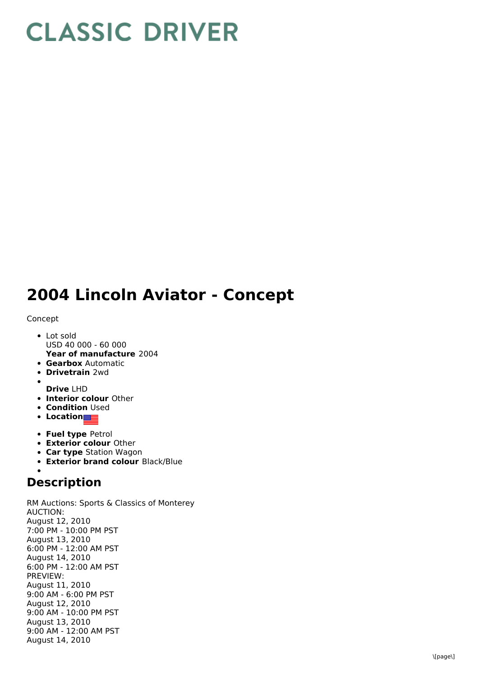## **CLASSIC DRIVER**

## 2004 Lincoln Aviator - Concept

Concept

- **Year of manufacture** 2004 L o t s old USD 40 000 - 60 000
- **Gearbox** Automatic
- **Drivetrain** 2wd
- 
- **D r i v e** L H D
- **Interior colour** Other
- **Condition** Used
- **Location**
- **Fuel type Petrol**
- **Exterior colour Other**
- **Car type** Station Wagon
- **Exterior brand colour** Black/Blue

## **Description**

RM Auctions: Sports & Classics of Monterey A U C TIO N: August 12, 2 0 1 0 7:00 PM - 10:00 PM PST August 13, 2010 6:00 PM - 12:00 AM PST August 14, 2010 6:00 PM - 12:00 AM PST P R E VIE W: August 11, 2 0 1 0 9:00 AM - 6:00 PM PST August 12, 2010 9:00 AM - 10:00 PM PST August 13, 2010 9:00 AM - 12:00 AM PST August 14, 2010